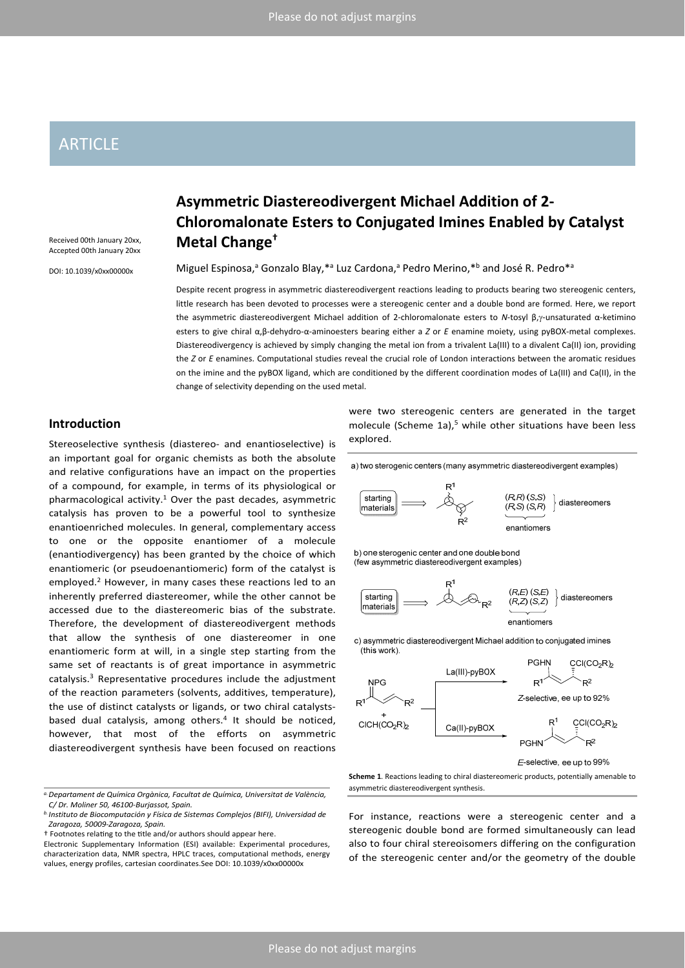# **ARTICLE**

Received 00th January 20xx, Accepted 00th January 20xx

DOI: 10.1039/x0xx00000x

# **Asymmetric Diastereodivergent Michael Addition of 2‐ Chloromalonate Esters to Conjugated Imines Enabled by Catalyst Metal Change†**

Miguel Espinosa,<sup>a</sup> Gonzalo Blay,\*<sup>a</sup> Luz Cardona,<sup>a</sup> Pedro Merino,\*<sup>b</sup> and José R. Pedro\*<sup>a</sup>

Despite recent progress in asymmetric diastereodivergent reactions leading to products bearing two stereogenic centers, little research has been devoted to processes were a stereogenic center and a double bond are formed. Here, we report the asymmetric diastereodivergent Michael addition of 2-chloromalonate esters to *N*-tosyl β,γ-unsaturated α-ketimino esters to give chiral α,β-dehydro-α-aminoesters bearing either a *Z* or *E* enamine moiety, using pyBOX-metal complexes. Diastereodivergency is achieved by simply changing the metal ion from a trivalent La(III) to a divalent Ca(II) ion, providing the *Z* or *E* enamines. Computational studies reveal the crucial role of London interactions between the aromatic residues on the imine and the pyBOX ligand, which are conditioned by the different coordination modes of La(III) and Ca(II), in the change of selectivity depending on the used metal.

## **Introduction**

Stereoselective synthesis (diastereo‐ and enantioselective) is an important goal for organic chemists as both the absolute and relative configurations have an impact on the properties of a compound, for example, in terms of its physiological or pharmacological activity. $1$  Over the past decades, asymmetric catalysis has proven to be a powerful tool to synthesize enantioenriched molecules. In general, complementary access to one or the opposite enantiomer of a molecule (enantiodivergency) has been granted by the choice of which enantiomeric (or pseudoenantiomeric) form of the catalyst is employed.<sup>2</sup> However, in many cases these reactions led to an inherently preferred diastereomer, while the other cannot be accessed due to the diastereomeric bias of the substrate. Therefore, the development of diastereodivergent methods that allow the synthesis of one diastereomer in one enantiomeric form at will, in a single step starting from the same set of reactants is of great importance in asymmetric catalysis. $3$  Representative procedures include the adjustment of the reaction parameters (solvents, additives, temperature), the use of distinct catalysts or ligands, or two chiral catalysts‐ based dual catalysis, among others.<sup>4</sup> It should be noticed, however, that most of the efforts on asymmetric diastereodivergent synthesis have been focused on reactions

were two stereogenic centers are generated in the target molecule (Scheme 1a), $5$  while other situations have been less explored.

a) two sterogenic centers (many asymmetric diastereodivergent examples)



b) one sterogenic center and one double bond (few asymmetric diastereodivergent examples)



c) asymmetric diastereodivergent Michael addition to conjugated imines (this work)



E-selective, ee up to 99%

**Scheme 1**. Reactions leading to chiral diastereomeric products, potentially amenable to asymmetric diastereodivergent synthesis.

For instance, reactions were a stereogenic center and a stereogenic double bond are formed simultaneously can lead also to four chiral stereoisomers differing on the configuration of the stereogenic center and/or the geometry of the double

*a.Departament de Química Orgànica, Facultat de Química, Universitat de València, C/ Dr. Moliner 50, 46100‐Burjassot, Spain.*

*b. Instituto de Biocomputación y Física de Sistemas Complejos (BIFI), Universidad de Zaragoza, 50009‐Zaragoza, Spain.*

<sup>†</sup> Footnotes relaƟng to the Ɵtle and/or authors should appear here.

Electronic Supplementary Information (ESI) available: Experimental procedures, characterization data, NMR spectra, HPLC traces, computational methods, energy values, energy profiles, cartesian coordinates.See DOI: 10.1039/x0xx00000x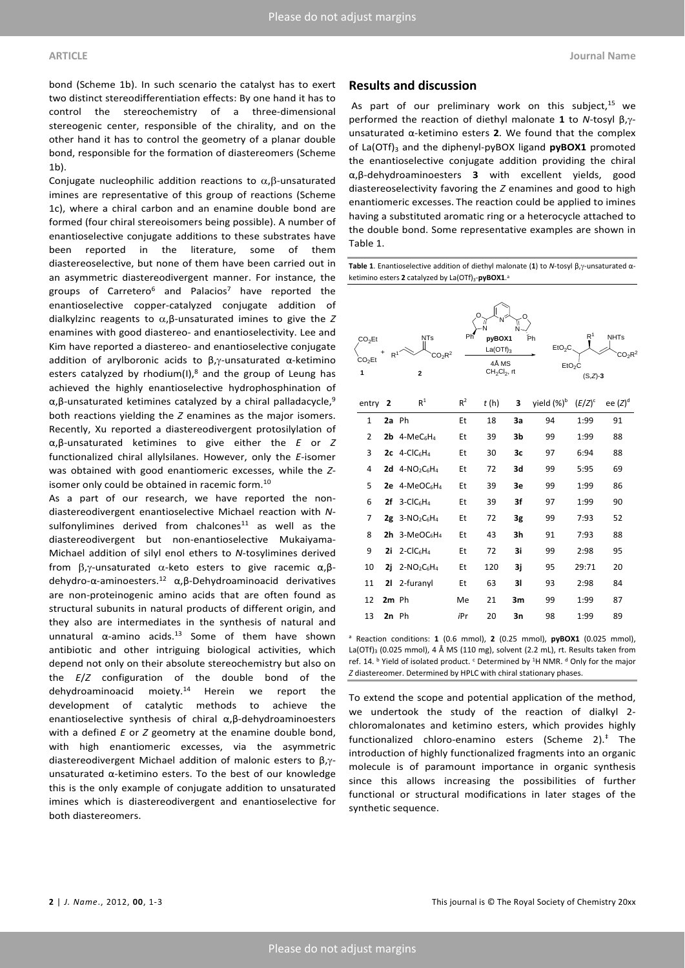bond (Scheme 1b). In such scenario the catalyst has to exert two distinct stereodifferentiation effects: By one hand it has to control the stereochemistry of a three-dimensional stereogenic center, responsible of the chirality, and on the other hand it has to control the geometry of a planar double bond, responsible for the formation of diastereomers (Scheme 1b).

Conjugate nucleophilic addition reactions to  $\alpha$ ,  $\beta$ -unsaturated imines are representative of this group of reactions (Scheme 1c), where a chiral carbon and an enamine double bond are formed (four chiral stereoisomers being possible). A number of enantioselective conjugate additions to these substrates have been reported in the literature, some of them diastereoselective, but none of them have been carried out in an asymmetric diastereodivergent manner. For instance, the groups of Carretero<sup>6</sup> and Palacios<sup>7</sup> have reported the enantioselective copper‐catalyzed conjugate addition of dialkylzinc reagents to  $\alpha$ , β-unsaturated imines to give the *Z* enamines with good diastereo‐ and enantioselectivity. Lee and Kim have reported a diastereo‐ and enantioselective conjugate addition of arylboronic acids to  $\beta$ , $\gamma$ -unsaturated  $\alpha$ -ketimino esters catalyzed by rhodium(I), $^8$  and the group of Leung has achieved the highly enantioselective hydrophosphination of  $α, β$ -unsaturated ketimines catalyzed by a chiral palladacycle,<sup>9</sup> both reactions yielding the *Z* enamines as the major isomers. Recently, Xu reported a diastereodivergent protosilylation of α,β‐unsaturated ketimines to give either the *E* or *Z* functionalized chiral allylsilanes. However, only the *E*‐isomer was obtained with good enantiomeric excesses, while the *Z*‐ isomer only could be obtained in racemic form.<sup>10</sup>

As a part of our research, we have reported the nondiastereodivergent enantioselective Michael reaction with *N*‐ sulfonylimines derived from chalcones<sup>11</sup> as well as the diastereodivergent but non‐enantioselective Mukaiyama‐ Michael addition of silyl enol ethers to *N*‐tosylimines derived from  $\beta$ ,  $\gamma$ -unsaturated  $\alpha$ -keto esters to give racemic  $\alpha$ ,  $\beta$ dehydro‐α‐aminoesters.12 α,β‐Dehydroaminoacid derivatives are non‐proteinogenic amino acids that are often found as structural subunits in natural products of different origin, and they also are intermediates in the synthesis of natural and unnatural  $\alpha$ -amino acids.<sup>13</sup> Some of them have shown antibiotic and other intriguing biological activities, which depend not only on their absolute stereochemistry but also on the *E*/*Z* configuration of the double bond of the dehydroaminoacid moiety.14 Herein we report the development of catalytic methods to achieve the enantioselective synthesis of chiral  $\alpha$ , $\beta$ -dehydroaminoesters with a defined *E* or *Z* geometry at the enamine double bond, with high enantiomeric excesses, via the asymmetric diastereodivergent Michael addition of malonic esters to β,γunsaturated  $\alpha$ -ketimino esters. To the best of our knowledge this is the only example of conjugate addition to unsaturated imines which is diastereodivergent and enantioselective for both diastereomers.

### **Results and discussion**

As part of our preliminary work on this subject, $15$  we performed the reaction of diethyl malonate 1 to *N*-tosyl β,γunsaturated  $\alpha$ -ketimino esters 2. We found that the complex of La(OTf)<sub>3</sub> and the diphenyl-pyBOX ligand **pyBOX1** promoted the enantioselective conjugate addition providing the chiral α,β‐dehydroaminoesters **3** with excellent yields, good diastereoselectivity favoring the *Z* enamines and good to high enantiomeric excesses. The reaction could be applied to imines having a substituted aromatic ring or a heterocycle attached to the double bond. Some representative examples are shown in Table 1.

**Table 1**. Enantioselective addition of diethyl malonate (1) to *N*-tosyl β, γ-unsaturated αketimino esters 2 catalyzed by La(OTf)<sub>3</sub>-pyBOX1.<sup>a</sup>

| CO <sub>2</sub> Et<br>CO <sub>2</sub> Et<br>1 | $\mathsf{R}^1$ | <b>NTs</b><br>CO <sub>2</sub> R <sup>2</sup><br>$\overline{2}$ | Ph    | pyBOX1<br>$La(OTf)_{3}$<br>4Å MS<br>$CH2Cl2$ , rt |    | Рh<br>EtO <sub>2</sub> C | R <sup>1</sup><br>EtO <sub>2</sub> C<br>$(S,Z)-3$ | <b>NHTs</b><br>$CO_2R^2$ |
|-----------------------------------------------|----------------|----------------------------------------------------------------|-------|---------------------------------------------------|----|--------------------------|---------------------------------------------------|--------------------------|
| entry                                         | 2              | R <sup>1</sup>                                                 | $R^2$ | t(h)                                              | 3  | yield (%) <sup>b</sup>   | $(E/Z)^c$                                         | ee $(Z)^d$               |
| $\mathbf{1}$                                  | 2a Ph          |                                                                | Et    | 18                                                | 3a | 94                       | 1:99                                              | 91                       |
| $\overline{2}$                                |                | $2b$ 4-MeC <sub>6</sub> H <sub>4</sub>                         | Et    | 39                                                | 3b | 99                       | 1:99                                              | 88                       |
| 3                                             |                | $2c$ 4-CIC6H <sub>4</sub>                                      | Et    | 30                                                | 3c | 97                       | 6:94                                              | 88                       |
| 4                                             |                | $2d$ 4-NO <sub>2</sub> C6H <sub>4</sub>                        | Et    | 72                                                | 3d | 99                       | 5:95                                              | 69                       |
| 5                                             |                | 2e 4-MeOC6H4                                                   | Et    | 39                                                | 3e | 99                       | 1:99                                              | 86                       |
| 6                                             | 2f             | $3 - CIC6H4$                                                   | Et    | 39                                                | 3f | 97                       | 1:99                                              | 90                       |
| 7                                             |                | $2g$ 3-NO <sub>2</sub> C <sub>6</sub> H <sub>4</sub>           | Et    | 72                                                | 3g | 99                       | 7:93                                              | 52                       |
| 8                                             |                | $2h$ 3-MeOC6H <sub>4</sub>                                     | Et    | 43                                                | 3h | 91                       | 7:93                                              | 88                       |
| 9                                             | 2i             | $2$ -ClC <sub>6</sub> H <sub>4</sub>                           | Et    | 72                                                | 3i | 99                       | 2:98                                              | 95                       |
| 10                                            | 2i             | $2-NO2C6H4$                                                    | Et    | 120                                               | 3i | 95                       | 29:71                                             | 20                       |
| 11                                            | 21             | 2-furanyl                                                      | Et    | 63                                                | 31 | 93                       | 2:98                                              | 84                       |
| 12                                            | 2m Ph          |                                                                | Me    | 21                                                | 3m | 99                       | 1:99                                              | 87                       |
| 13                                            | $2n$ Ph        |                                                                | iPr   | 20                                                | 3n | 98                       | 1:99                                              | 89                       |

<sup>a</sup> Reaction conditions: **1** (0.6 mmol), **2** (0.25 mmol), **pyBOX1** (0.025 mmol), La(OTf)<sub>3</sub> (0.025 mmol), 4 Å MS (110 mg), solvent (2.2 mL), rt. Results taken from ref. 14.  $b$  Yield of isolated product.  $c$  Determined by <sup>1</sup>H NMR.  $d$  Only for the major *Z* diastereomer. Determined by HPLC with chiral stationary phases.

To extend the scope and potential application of the method, we undertook the study of the reaction of dialkyl 2‐ chloromalonates and ketimino esters, which provides highly functionalized chloro‐enamino esters (Scheme 2).‡ The introduction of highly functionalized fragments into an organic molecule is of paramount importance in organic synthesis since this allows increasing the possibilities of further functional or structural modifications in later stages of the synthetic sequence.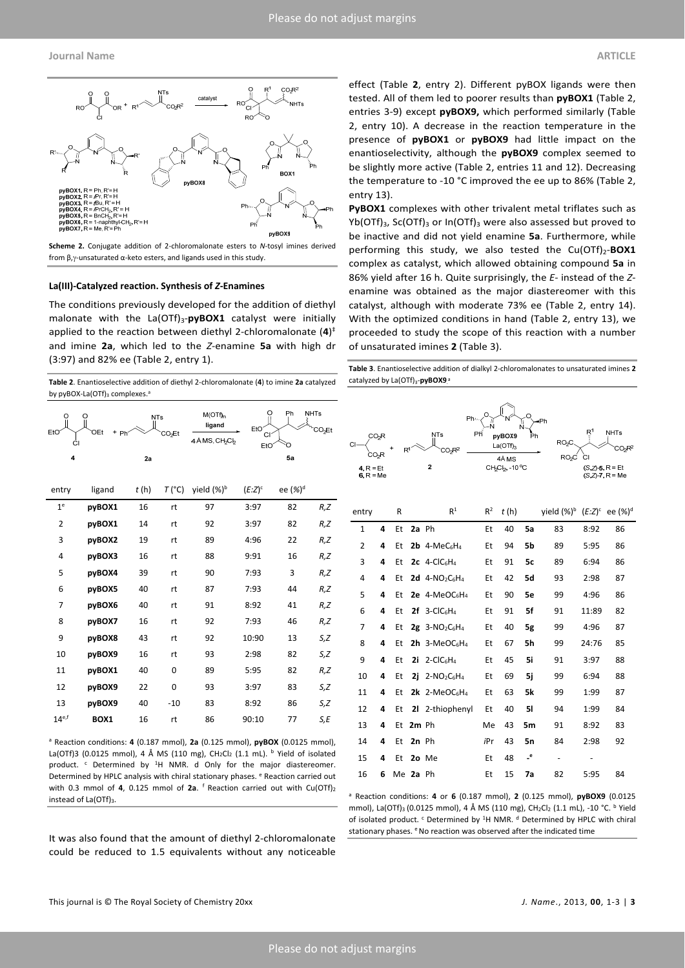

**Scheme 2.** Conjugate addition of 2‐chloromalonate esters to *N*‐tosyl imines derived from  $β, γ$ -unsaturated  $α$ -keto esters, and ligands used in this study.

#### **La(III)‐Catalyzed reaction. Synthesis of** *Z***‐Enamines**

The conditions previously developed for the addition of diethyl malonate with the La(OTf)<sub>3</sub>-pyBOX1 catalyst were initially applied to the reaction between diethyl 2‐chloromalonate (**4**) ‡ and imine **2a**, which led to the *Z*‐enamine **5a** with high dr (3:97) and 82% ee (Table 2, entry 1).

**Table 2**. Enantioselective addition of diethyl 2‐chloromalonate (**4**) to imine **2a** catalyzed by pyBOX-La(OTf)<sub>3</sub> complexes.<sup>a</sup>

| O<br>EtO<br>СI | O<br><b>OEt</b><br>$\ddot{}$<br>Ph | <b>NTs</b> | CO <sub>2</sub> Et | $M(OTf)_{n}$<br>ligand<br>4 Å MS, CH <sub>2</sub> Cl <sub>2</sub> | O<br>EtO<br><b>CI</b><br>EtO | Ph                  | <b>NHTs</b><br>CO <sub>2</sub> Et |
|----------------|------------------------------------|------------|--------------------|-------------------------------------------------------------------|------------------------------|---------------------|-----------------------------------|
| 4              |                                    | 2a         |                    |                                                                   |                              | 5a                  |                                   |
| entry          | ligand                             | t(h)       | $T(^{\circ}C)$     | yield (%) <sup>b</sup>                                            | $(E:Z)^c$                    | ee (%) <sup>d</sup> |                                   |
| 1 <sup>e</sup> | pyBOX1                             | 16         | rt                 | 97                                                                | 3:97                         | 82                  | R, Z                              |
| $\overline{2}$ | pyBOX1                             | 14         | rt                 | 92                                                                | 3:97                         | 82                  | R, Z                              |
| 3              | pyBOX2                             | 19         | rt                 | 89                                                                | 4:96                         | 22                  | R,Z                               |
| 4              | pyBOX3                             | 16         | rt                 | 88                                                                | 9:91                         | 16                  | R, Z                              |
| 5              | pyBOX4                             | 39         | rt                 | 90                                                                | 7:93                         | 3                   | R, Z                              |
| 6              | pyBOX5                             | 40         | rt                 | 87                                                                | 7:93                         | 44                  | R, Z                              |
| 7              | pyBOX6                             | 40         | rt                 | 91                                                                | 8:92                         | 41                  | R, Z                              |
| 8              | pyBOX7                             | 16         | rt                 | 92                                                                | 7:93                         | 46                  | R, Z                              |
| 9              | pyBOX8                             | 43         | rt                 | 92                                                                | 10:90                        | 13                  | S,Z                               |
| 10             | pyBOX9                             | 16         | rt                 | 93                                                                | 2:98                         | 82                  | S,Z                               |
| 11             | pyBOX1                             | 40         | 0                  | 89                                                                | 5:95                         | 82                  | R, Z                              |
| 12             | pyBOX9                             | 22         | 0                  | 93                                                                | 3:97                         | 83                  | S,Z                               |
| 13             | pyBOX9                             | 40         | $-10$              | 83                                                                | 8:92                         | 86                  | S,Z                               |
| $14^{e,f}$     | BOX1                               | 16         | rt                 | 86                                                                | 90:10                        | 77                  | S,E                               |

<sup>a</sup> Reaction conditions: **4** (0.187 mmol), **2a** (0.125 mmol), **pyBOX** (0.0125 mmol), La(OTf)3 (0.0125 mmol), 4 Å MS (110 mg), CH<sub>2</sub>Cl<sub>2</sub> (1.1 mL). <sup>b</sup> Yield of isolated product. <sup>c</sup> Determined by <sup>1</sup>H NMR. d Only for the major diastereomer. Determined by HPLC analysis with chiral stationary phases. <sup>e</sup> Reaction carried out with 0.3 mmol of 4, 0.125 mmol of 2a. <sup>f</sup> Reaction carried out with Cu(OTf)<sub>2</sub> instead of La(OTf)3.

It was also found that the amount of diethyl 2‐chloromalonate could be reduced to 1.5 equivalents without any noticeable

effect (Table **2**, entry 2). Different pyBOX ligands were then tested. All of them led to poorer results than **pyBOX1** (Table 2, entries 3‐9) except **pyBOX9,** which performed similarly (Table 2, entry 10). A decrease in the reaction temperature in the presence of **pyBOX1** or **pyBOX9** had little impact on the enantioselectivity, although the **pyBOX9** complex seemed to be slightly more active (Table 2, entries 11 and 12). Decreasing the temperature to ‐10 °C improved the ee up to 86% (Table 2, entry 13).

**PyBOX1** complexes with other trivalent metal triflates such as  $Yb(OTf)_{3}$ , Sc(OTf)<sub>3</sub> or In(OTf)<sub>3</sub> were also assessed but proved to be inactive and did not yield enamine **5a**. Furthermore, while performing this study, we also tested the Cu(OTf)<sub>2</sub>-BOX1 complex as catalyst, which allowed obtaining compound **5a** in 86% yield after 16 h. Quite surprisingly, the *E*‐ instead of the *Z*‐ enamine was obtained as the major diastereomer with this catalyst, although with moderate 73% ee (Table 2, entry 14). With the optimized conditions in hand (Table 2, entry 13), we proceeded to study the scope of this reaction with a number of unsaturated imines **2** (Table 3).

**Table 3**. Enantioselective addition of dialkyl 2‐chloromalonates to unsaturated imines **2** catalyzed by La(OTf)<sub>3</sub>-pyBOX9.<sup>8</sup>

| Ph,<br>NTs<br>Pĥ<br>CO-R<br>$CO_2R^2$<br>2<br>4, $R = Et$<br>$6. R = Me$ |   |    |          |                                                      |  |       | $E^1$<br><b>NHTs</b><br>pyBOX9<br>RO <sub>2</sub> C<br>La(OTf),<br>RO <sub>2</sub> C<br>СI<br>4À MS<br>CH <sub>2</sub> Cl <sub>2</sub> , -10 °C<br>$(S, Z)$ -5, R = Et<br>$(S.Z - 7, R = Me)$ |              |                                      |       |    |  |
|--------------------------------------------------------------------------|---|----|----------|------------------------------------------------------|--|-------|-----------------------------------------------------------------------------------------------------------------------------------------------------------------------------------------------|--------------|--------------------------------------|-------|----|--|
| entry                                                                    |   | R  |          | R <sup>1</sup>                                       |  | $R^2$ | t(h)                                                                                                                                                                                          |              | yield $(\%)^b$ $(E:Z)^c$ ee $(\%)^d$ |       |    |  |
| $\mathbf{1}$                                                             | 4 | Et | 2a Ph    |                                                      |  | Et    | 40                                                                                                                                                                                            | 5a           | 83                                   | 8:92  | 86 |  |
| 2                                                                        | 4 | Et |          | $2b$ 4-MeC <sub>6</sub> H <sub>4</sub>               |  | Et    | 94                                                                                                                                                                                            | 5b           | 89                                   | 5:95  | 86 |  |
| 3                                                                        | 4 | Et |          | $2c$ 4-CIC <sub>6</sub> H <sub>4</sub>               |  | Et    | 91                                                                                                                                                                                            | 5c           | 89                                   | 6:94  | 86 |  |
| 4                                                                        | 4 | Et |          | 2d $4-NO_2C_6H_4$                                    |  | Et    | 42                                                                                                                                                                                            | 5d           | 93                                   | 2:98  | 87 |  |
| 5                                                                        | 4 | Et |          | $2e$ 4-MeOC <sub>6</sub> H <sub>4</sub>              |  | Et    | 90                                                                                                                                                                                            | 5e           | 99                                   | 4:96  | 86 |  |
| 6                                                                        | 4 | Et |          | $2f$ 3-CIC <sub>6</sub> H <sub>4</sub>               |  | Et    | 91                                                                                                                                                                                            | 5f           | 91                                   | 11:89 | 82 |  |
| 7                                                                        | 4 | Et |          | $2g$ 3-NO <sub>2</sub> C <sub>6</sub> H <sub>4</sub> |  | Et    | 40                                                                                                                                                                                            | 5g           | 99                                   | 4:96  | 87 |  |
| 8                                                                        | 4 | Et |          | 2h $3-MeOC_6H_4$                                     |  | Et    | 67                                                                                                                                                                                            | 5h           | 99                                   | 24:76 | 85 |  |
| 9                                                                        | 4 | Et |          | $2i$ 2-CIC <sub>6</sub> H <sub>4</sub>               |  | Et    | 45                                                                                                                                                                                            | 5i           | 91                                   | 3:97  | 88 |  |
| 10                                                                       | 4 | Et | 2i       | $2-NO2C6H4$                                          |  | Et    | 69                                                                                                                                                                                            | 5i           | 99                                   | 6:94  | 88 |  |
| 11                                                                       | 4 | Et |          | $2k$ 2-MeOC <sub>6</sub> H <sub>4</sub>              |  | Et    | 63                                                                                                                                                                                            | 5k           | 99                                   | 1:99  | 87 |  |
| 12                                                                       | 4 | Et |          | 21 2-thiophenyl                                      |  | Et    | 40                                                                                                                                                                                            | 51           | 94                                   | 1:99  | 84 |  |
| 13                                                                       | 4 | Et | 2m Ph    |                                                      |  | Me    | 43                                                                                                                                                                                            | 5m           | 91                                   | 8:92  | 83 |  |
| 14                                                                       | 4 | Et | $2n$ Ph  |                                                      |  | iPr   | 43                                                                                                                                                                                            | 5n           | 84                                   | 2:98  | 92 |  |
| 15                                                                       | 4 | Et |          | 2o Me                                                |  | Et    | 48                                                                                                                                                                                            | $\mathbf{e}$ | $\qquad \qquad \blacksquare$         |       |    |  |
| 16                                                                       | 6 |    | Me 2a Ph |                                                      |  | Et    | 15                                                                                                                                                                                            | 7a           | 82                                   | 5:95  | 84 |  |

<sup>a</sup> Reaction conditions: **4** or **6** (0.187 mmol), **2** (0.125 mmol), **pyBOX9** (0.0125 mmol), La(OTf)<sub>3</sub> (0.0125 mmol), 4 Å MS (110 mg), CH<sub>2</sub>Cl<sub>2</sub> (1.1 mL), -10 °C. <sup>b</sup> Yield of isolated product. <sup>c</sup> Determined by <sup>1</sup>H NMR. <sup>d</sup> Determined by HPLC with chiral stationary phases.  $e$  No reaction was observed after the indicated time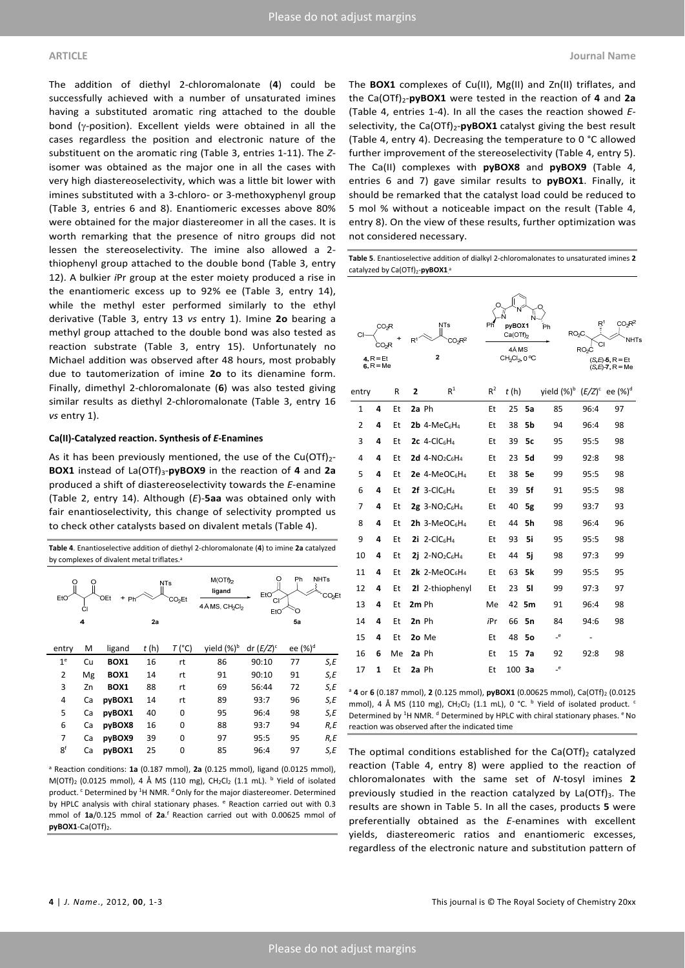The addition of diethyl 2‐chloromalonate (**4**) could be successfully achieved with a number of unsaturated imines having a substituted aromatic ring attached to the double bond ( $y$ -position). Excellent yields were obtained in all the cases regardless the position and electronic nature of the substituent on the aromatic ring (Table 3, entries 1‐11). The *Z*‐ isomer was obtained as the major one in all the cases with very high diastereoselectivity, which was a little bit lower with imines substituted with a 3‐chloro‐ or 3‐methoxyphenyl group (Table 3, entries 6 and 8). Enantiomeric excesses above 80% were obtained for the major diastereomer in all the cases. It is worth remarking that the presence of nitro groups did not lessen the stereoselectivity. The imine also allowed a 2‐ thiophenyl group attached to the double bond (Table 3, entry 12). A bulkier *i*Pr group at the ester moiety produced a rise in the enantiomeric excess up to 92% ee (Table 3, entry 14), while the methyl ester performed similarly to the ethyl derivative (Table 3, entry 13 *vs* entry 1). Imine **2o** bearing a methyl group attached to the double bond was also tested as reaction substrate (Table 3, entry 15). Unfortunately no Michael addition was observed after 48 hours, most probably due to tautomerization of imine **2o** to its dienamine form. Finally, dimethyl 2‐chloromalonate (**6**) was also tested giving similar results as diethyl 2-chloromalonate (Table 3, entry 16 *vs* entry 1).

#### **Ca(II)‐Catalyzed reaction. Synthesis of** *E***‐Enamines**

As it has been previously mentioned, the use of the Cu(OTf) $_{2}$ -**BOX1** instead of La(OTf)3‐**pyBOX9** in the reaction of **4** and **2a** produced a shift of diastereoselectivity towards the *E*‐enamine (Table 2, entry 14). Although (*E*)‐**5aa** was obtained only with fair enantioselectivity, this change of selectivity prompted us to check other catalysts based on divalent metals (Table 4).

**Table 4**. Enantioselective addition of diethyl 2‐chloromalonate (**4**) to imine **2a** catalyzed by complexes of divalent metal triflates.<sup>a</sup>

| O<br>EtO       | O<br>Ćl | OEt<br>$+$ Ph <sup><math>\sim</math></sup> |      | <b>NTs</b><br>CO <sub>2</sub> Et | $M(OTf)_{2}$<br>ligand<br>4 Å MS, CH <sub>2</sub> C <sub>b</sub> | O<br>EtO <sup>®</sup><br>СI<br>EtO | Ph<br>∩       | <b>NHTs</b><br>CO <sub>2</sub> Et |
|----------------|---------|--------------------------------------------|------|----------------------------------|------------------------------------------------------------------|------------------------------------|---------------|-----------------------------------|
|                | 4       |                                            | 2a   |                                  |                                                                  |                                    | 5a            |                                   |
| entry          | M       | ligand                                     | t(h) | $T(^{\circ}C)$                   | yield (%) <sup>b</sup>                                           | dr $(E/Z)^c$                       | ee $({\%})^d$ |                                   |
| 1 <sup>e</sup> | Cu      | BOX1                                       | 16   | rt                               | 86                                                               | 90:10                              | 77            | S,E                               |
| $\overline{2}$ | Mg      | BOX1                                       | 14   | rt                               | 91                                                               | 90:10                              | 91            | S,E                               |
| 3              | Zn      | BOX1                                       | 88   | rt                               | 69                                                               | 56:44                              | 72            | S,E                               |
| 4              | Ca      | pyBOX1                                     | 14   | rt                               | 89                                                               | 93:7                               | 96            | S,E                               |
| 5              | Ca      | pyBOX1                                     | 40   | 0                                | 95                                                               | 96:4                               | 98            | S,E                               |
| 6              | Ca      | pyBOX8                                     | 16   | 0                                | 88                                                               | 93:7                               | 94            | R,E                               |
| 7              | Ca      | pyBOX9                                     | 39   | 0                                | 97                                                               | 95:5                               | 95            | R,E                               |
| 8 <sup>f</sup> | Ca      | pyBOX1                                     | 25   | 0                                | 85                                                               | 96:4                               | 97            | S,E                               |

<sup>a</sup> Reaction conditions: **1a** (0.187 mmol), **2a** (0.125 mmol), ligand (0.0125 mmol), M(OTf)<sub>2</sub> (0.0125 mmol), 4 Å MS (110 mg), CH<sub>2</sub>Cl<sub>2</sub> (1.1 mL). <sup>b</sup> Yield of isolated product.<sup>c</sup> Determined by <sup>1</sup>H NMR.<sup>d</sup> Only for the major diastereomer. Determined by HPLC analysis with chiral stationary phases. <sup>e</sup> Reaction carried out with 0.3 mmol of **1a**/0.125 mmol of **2a**. <sup>f</sup> Reaction carried out with 0.00625 mmol of pyBOX1-Ca(OTf)<sub>2</sub>.

The **BOX1** complexes of Cu(II), Mg(II) and Zn(II) triflates, and the Ca(OTf)2‐**pyBOX1** were tested in the reaction of **4** and **2a** (Table 4, entries 1‐4). In all the cases the reaction showed *E*‐ selectivity, the Ca(OTf)<sub>2</sub>-**pyBOX1** catalyst giving the best result (Table 4, entry 4). Decreasing the temperature to 0 °C allowed further improvement of the stereoselectivity (Table 4, entry 5). The Ca(II) complexes with **pyBOX8** and **pyBOX9** (Table 4, entries 6 and 7) gave similar results to **pyBOX1**. Finally, it should be remarked that the catalyst load could be reduced to 5 mol % without a noticeable impact on the result (Table 4, entry 8). On the view of these results, further optimization was not considered necessary.

**Table 5**. Enantioselective addition of dialkyl 2‐chloromalonates to unsaturated imines **2** catalyzed by Ca(OTf)<sub>2</sub>-pyBOX1<sup>8</sup>

| CO <sub>2</sub> R<br>CO <sub>2</sub> R<br>4. $R = Et$<br>$6 R = Me$ |   | $\mathsf{R}^1$ | <b>NTs</b><br>CO <sub>2</sub> R <sup>2</sup><br>2 | Ph                                                        | pyBOX1<br>Ca(OTh)<br>4Å MS<br>CH <sub>2</sub> Cl <sub>2</sub> , 0 °C |                   | Рh | R <sup>1</sup><br>CO-R <sup>2</sup><br>RO <sub>2</sub> C<br>NHT:<br>RO <sub>2</sub> C<br>$(S.E) - 5, R = Et$<br>$(S,E)-7, R = Me$ |      |    |
|---------------------------------------------------------------------|---|----------------|---------------------------------------------------|-----------------------------------------------------------|----------------------------------------------------------------------|-------------------|----|-----------------------------------------------------------------------------------------------------------------------------------|------|----|
| entry                                                               |   | R              | $\overline{2}$                                    | R <sup>1</sup>                                            | $R^2$                                                                | t(h)              |    | yield $({\%})^b$ $(E/Z)^c$ ee $({\%})^d$                                                                                          |      |    |
| 1                                                                   | 4 | Et             | 2a Ph                                             |                                                           | Et                                                                   | 25                | 5a | 85                                                                                                                                | 96:4 | 97 |
| $\overline{2}$                                                      | 4 | Et             |                                                   | $2b$ 4-MeC <sub>6</sub> H <sub>4</sub>                    | Et                                                                   | 38                | 5b | 94                                                                                                                                | 96:4 | 98 |
| 3                                                                   | 4 | Et             |                                                   | 2c $4$ -ClC $6H_4$                                        | Et                                                                   | 39                | 5c | 95                                                                                                                                | 95:5 | 98 |
| 4                                                                   | 4 | Et             |                                                   | 2d $4-NO_2C_6H_4$                                         | Et                                                                   | 23                | 5d | 99                                                                                                                                | 92:8 | 98 |
| 5                                                                   | 4 | Et             |                                                   | $2e$ 4-MeOC <sub>6</sub> H <sub>4</sub>                   | Et                                                                   | 38                | 5e | 99                                                                                                                                | 95:5 | 98 |
| 6                                                                   | 4 | Et             |                                                   | $2f$ 3-ClC <sub>6</sub> H <sub>4</sub>                    | Et                                                                   | 39                | 5f | 91                                                                                                                                | 95:5 | 98 |
| 7                                                                   | 4 | Et             |                                                   | $2g$ 3-NO <sub>2</sub> C <sub>6</sub> H <sub>4</sub>      | Et                                                                   | 40                | 5g | 99                                                                                                                                | 93:7 | 93 |
| 8                                                                   | 4 | Et             |                                                   | $2h$ 3-MeOC <sub>6</sub> H <sub>4</sub>                   | Et                                                                   | 44                | 5h | 98                                                                                                                                | 96:4 | 96 |
| 9                                                                   | 4 | Et             |                                                   | 2i 2-Cl $C_6H_4$                                          | Et                                                                   | 93                | 5i | 95                                                                                                                                | 95:5 | 98 |
| 10                                                                  | 4 | Et             |                                                   | <b>2i</b> 2-NO <sub>2</sub> C <sub>6</sub> H <sub>4</sub> | Et                                                                   | 44                | 5i | 98                                                                                                                                | 97:3 | 99 |
| 11                                                                  | 4 | Et             |                                                   | 2k 2-MeOC $_6$ H <sub>4</sub>                             | Et                                                                   | 63                | 5k | 99                                                                                                                                | 95:5 | 95 |
| 12                                                                  | 4 | Et             |                                                   | 21 2-thiophenyl                                           | Et                                                                   | 23                | 51 | 99                                                                                                                                | 97:3 | 97 |
| 13                                                                  | 4 | Et             | 2m Ph                                             |                                                           | Me                                                                   | 42                | 5m | 91                                                                                                                                | 96:4 | 98 |
| 14                                                                  | 4 | Et             | 2n Ph                                             |                                                           | iPr                                                                  | 66                | 5n | 84                                                                                                                                | 94:6 | 98 |
| 15                                                                  | 4 | Et             |                                                   | 2o Me                                                     | Et                                                                   | 48                | 50 | e                                                                                                                                 |      |    |
| 16                                                                  | 6 | Me             | 2a Ph                                             |                                                           | Et                                                                   | 15                | 7a | 92                                                                                                                                | 92:8 | 98 |
| 17                                                                  | 1 | Et             | 2a Ph                                             |                                                           | Et                                                                   | 100 <sub>3a</sub> |    | e                                                                                                                                 |      |    |

<sup>a</sup> 4 or 6 (0.187 mmol), 2 (0.125 mmol), pyBOX1 (0.00625 mmol), Ca(OTf)<sub>2</sub> (0.0125 mmol), 4 Å MS (110 mg),  $CH_2Cl_2$  (1.1 mL), 0 °C.  $^{\text{b}}$  Yield of isolated product.  $^{\text{c}}$ Determined by <sup>1</sup>H NMR. <sup>d</sup> Determined by HPLC with chiral stationary phases. <sup>e</sup> No reaction was observed after the indicated time

The optimal conditions established for the Ca(OTf)<sub>2</sub> catalyzed reaction (Table 4, entry 8) were applied to the reaction of chloromalonates with the same set of *N*‐tosyl imines **2** previously studied in the reaction catalyzed by  $La(OTf)_3$ . The results are shown in Table 5. In all the cases, products **5** were preferentially obtained as the *E*‐enamines with excellent yields, diastereomeric ratios and enantiomeric excesses, regardless of the electronic nature and substitution pattern of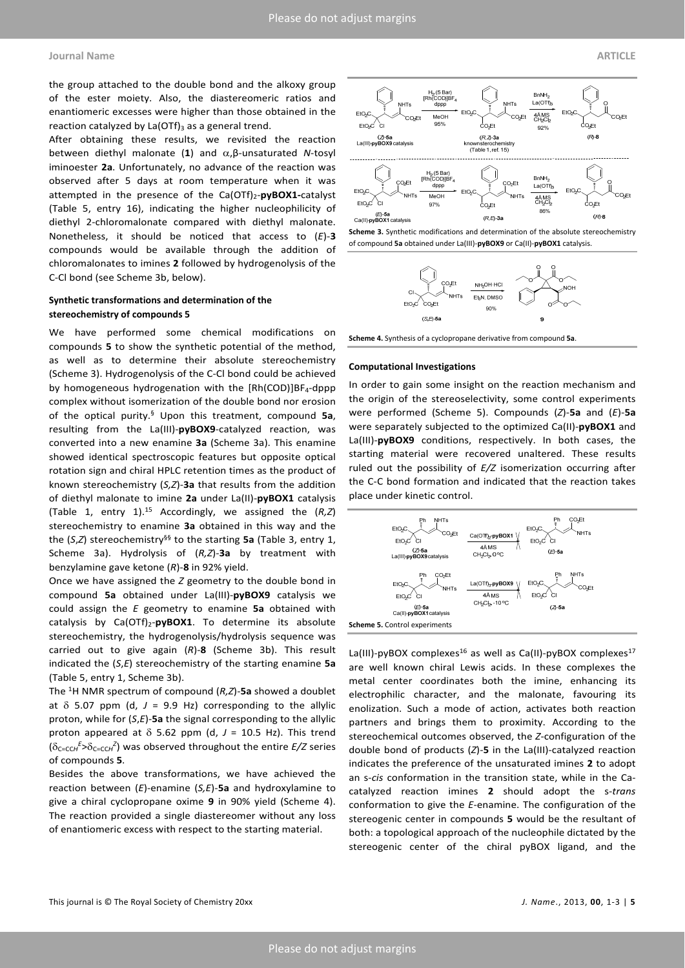the group attached to the double bond and the alkoxy group of the ester moiety. Also, the diastereomeric ratios and enantiomeric excesses were higher than those obtained in the reaction catalyzed by  $La(OTf)_3$  as a general trend.

After obtaining these results, we revisited the reaction between diethyl malonate (1) and  $\alpha$ , β-unsaturated *N*-tosyl iminoester **2a**. Unfortunately, no advance of the reaction was observed after 5 days at room temperature when it was attempted in the presence of the Ca(OTf)2‐**pyBOX1‐**catalyst (Table 5, entry 16), indicating the higher nucleophilicity of diethyl 2‐chloromalonate compared with diethyl malonate. Nonetheless, it should be noticed that access to (*E*)‐**3** compounds would be available through the addition of chloromalonates to imines **2** followed by hydrogenolysis of the C‐Cl bond (see Scheme 3b, below).

### **Synthetic transformations and determination of the stereochemistry of compounds 5**

We have performed some chemical modifications on compounds **5** to show the synthetic potential of the method, as well as to determine their absolute stereochemistry (Scheme 3). Hydrogenolysis of the C‐Cl bond could be achieved by homogeneous hydrogenation with the  $[Rh(COD)]BF_4$ -dppp complex without isomerization of the double bond nor erosion of the optical purity.§ Upon this treatment, compound **5a**, resulting from the La(III)‐**pyBOX9**‐catalyzed reaction, was converted into a new enamine **3a** (Scheme 3a). This enamine showed identical spectroscopic features but opposite optical rotation sign and chiral HPLC retention times as the product of known stereochemistry (*S,Z*)‐**3a** that results from the addition of diethyl malonate to imine **2a** under La(II)‐**pyBOX1** catalysis (Table 1, entry 1).15 Accordingly, we assigned the (*R,Z*) stereochemistry to enamine **3a** obtained in this way and the the (*S*,*Z*) stereochemistry§§ to the starting **5a** (Table 3, entry 1, Scheme 3a). Hydrolysis of (*R,Z*)‐**3a** by treatment with benzylamine gave ketone (*R*)‐**8** in 92% yield.

Once we have assigned the *Z* geometry to the double bond in compound **5a** obtained under La(III)‐**pyBOX9** catalysis we could assign the *E* geometry to enamine **5a** obtained with catalysis by Ca(OTf)<sub>2</sub>-pyBOX1. To determine its absolute stereochemistry, the hydrogenolysis/hydrolysis sequence was carried out to give again (*R*)‐**8** (Scheme 3b). This result indicated the (*S*,*E*) stereochemistry of the starting enamine **5a** (Table 5, entry 1, Scheme 3b).

The 1H NMR spectrum of compound (*R,Z*)‐**5a** showed a doublet at  $\delta$  5.07 ppm (d,  $J = 9.9$  Hz) corresponding to the allylic proton, while for (*S*,*E*)‐**5a** the signal corresponding to the allylic proton appeared at  $\delta$  5.62 ppm (d,  $J = 10.5$  Hz). This trend (C=CC*<sup>H</sup> E* >C=CC*<sup>H</sup> Z* ) was observed throughout the entire *E/Z* series of compounds **5**.

Besides the above transformations, we have achieved the reaction between (*E*)‐enamine (*S,E*)‐**5a** and hydroxylamine to give a chiral cyclopropane oxime **9** in 90% yield (Scheme 4). The reaction provided a single diastereomer without any loss of enantiomeric excess with respect to the starting material.







**Scheme 4.** Synthesis of a cyclopropane derivative from compound **5a**.

#### **Computational Investigations**

In order to gain some insight on the reaction mechanism and the origin of the stereoselectivity, some control experiments were performed (Scheme 5). Compounds (*Z*)‐**5a** and (*E*)‐**5a** were separately subjected to the optimized Ca(II)‐**pyBOX1** and La(III)-pyBOX9 conditions, respectively. In both cases, the starting material were recovered unaltered. These results ruled out the possibility of *E/Z* isomerization occurring after the C‐C bond formation and indicated that the reaction takes place under kinetic control.



La(III)-pyBOX complexes<sup>16</sup> as well as Ca(II)-pyBOX complexes<sup>17</sup> are well known chiral Lewis acids. In these complexes the metal center coordinates both the imine, enhancing its electrophilic character, and the malonate, favouring its enolization. Such a mode of action, activates both reaction partners and brings them to proximity. According to the stereochemical outcomes observed, the *Z*‐configuration of the double bond of products (*Z*)‐**5** in the La(III)‐catalyzed reaction indicates the preference of the unsaturated imines **2** to adopt an s-*cis* conformation in the transition state, while in the Cacatalyzed reaction imines **2** should adopt the s‐*trans* conformation to give the *E*‐enamine. The configuration of the stereogenic center in compounds **5** would be the resultant of both: a topological approach of the nucleophile dictated by the stereogenic center of the chiral pyBOX ligand, and the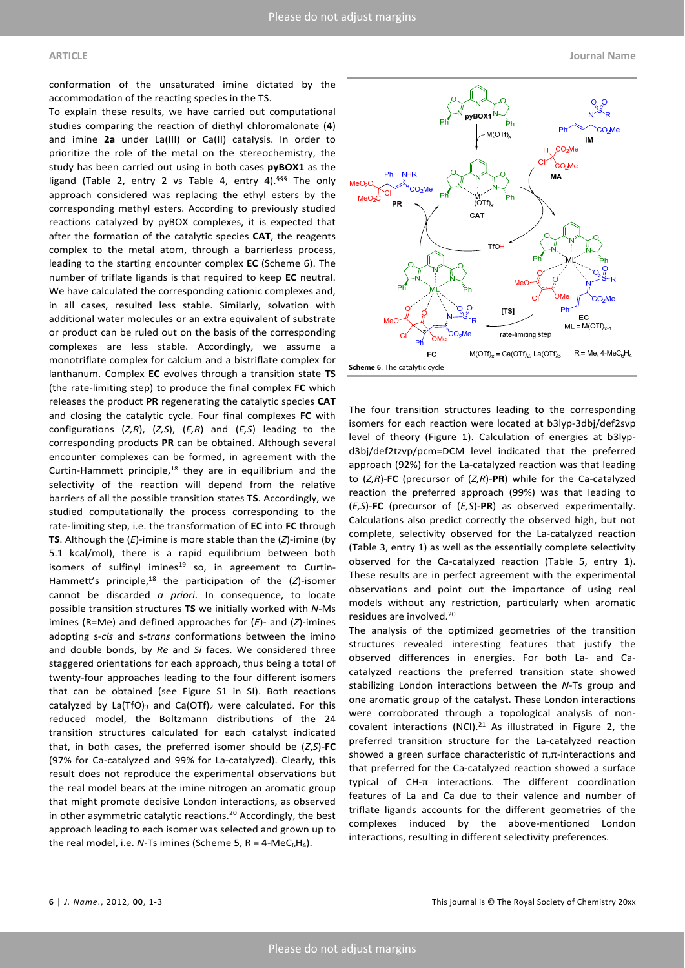conformation of the unsaturated imine dictated by the accommodation of the reacting species in the TS.

To explain these results, we have carried out computational studies comparing the reaction of diethyl chloromalonate (**4**) and imine **2a** under La(III) or Ca(II) catalysis. In order to prioritize the role of the metal on the stereochemistry, the study has been carried out using in both cases **pyBOX1** as the ligand (Table 2, entry 2 vs Table 4, entry 4).<sup>§§§</sup> The only approach considered was replacing the ethyl esters by the corresponding methyl esters. According to previously studied reactions catalyzed by pyBOX complexes, it is expected that after the formation of the catalytic species **CAT**, the reagents complex to the metal atom, through a barrierless process, leading to the starting encounter complex **EC** (Scheme 6). The number of triflate ligands is that required to keep **EC** neutral. We have calculated the corresponding cationic complexes and, in all cases, resulted less stable. Similarly, solvation with additional water molecules or an extra equivalent of substrate or product can be ruled out on the basis of the corresponding complexes are less stable. Accordingly, we assume a monotriflate complex for calcium and a bistriflate complex for lanthanum. Complex **EC** evolves through a transition state **TS** (the rate‐limiting step) to produce the final complex **FC** which releases the product **PR** regenerating the catalytic species **CAT** and closing the catalytic cycle. Four final complexes **FC** with configurations (*Z,R*), (*Z,S*), (*E,R*) and (*E,S*) leading to the corresponding products **PR** can be obtained. Although several encounter complexes can be formed, in agreement with the Curtin-Hammett principle, $18$  they are in equilibrium and the selectivity of the reaction will depend from the relative barriers of all the possible transition states **TS**. Accordingly, we studied computationally the process corresponding to the rate‐limiting step, i.e. the transformation of **EC** into **FC** through **TS**. Although the (*E*)‐imine is more stable than the (*Z*)‐imine (by 5.1 kcal/mol), there is a rapid equilibrium between both isomers of sulfinyl imines<sup>19</sup> so, in agreement to Curtin-Hammett's principle,18 the participation of the (*Z*)‐isomer cannot be discarded *a priori*. In consequence, to locate possible transition structures **TS** we initially worked with *N*‐Ms imines (R=Me) and defined approaches for (*E*)‐ and (*Z*)‐imines adopting s‐*cis* and s‐*trans* conformations between the imino and double bonds, by *Re* and *Si* faces. We considered three staggered orientations for each approach, thus being a total of twenty‐four approaches leading to the four different isomers that can be obtained (see Figure S1 in SI). Both reactions catalyzed by La(TfO)<sub>3</sub> and Ca(OTf)<sub>2</sub> were calculated. For this reduced model, the Boltzmann distributions of the 24 transition structures calculated for each catalyst indicated that, in both cases, the preferred isomer should be (*Z*,*S*)‐**FC** (97% for Ca‐catalyzed and 99% for La‐catalyzed). Clearly, this result does not reproduce the experimental observations but the real model bears at the imine nitrogen an aromatic group that might promote decisive London interactions, as observed in other asymmetric catalytic reactions.<sup>20</sup> Accordingly, the best approach leading to each isomer was selected and grown up to the real model, i.e.  $N$ -Ts imines (Scheme 5,  $R = 4$ -Me $C_6H_4$ ).



The four transition structures leading to the corresponding isomers for each reaction were located at b3lyp‐3dbj/def2svp level of theory (Figure 1). Calculation of energies at b3lypd3bj/def2tzvp/pcm=DCM level indicated that the preferred approach (92%) for the La‐catalyzed reaction was that leading to (*Z,R*)‐**FC** (precursor of (*Z,R*)‐**PR**) while for the Ca‐catalyzed reaction the preferred approach (99%) was that leading to (*E,S*)‐**FC** (precursor of (*E,S*)‐**PR**) as observed experimentally. Calculations also predict correctly the observed high, but not complete, selectivity observed for the La‐catalyzed reaction (Table 3, entry 1) as well as the essentially complete selectivity observed for the Ca‐catalyzed reaction (Table 5, entry 1). These results are in perfect agreement with the experimental observations and point out the importance of using real models without any restriction, particularly when aromatic residues are involved.20

The analysis of the optimized geometries of the transition structures revealed interesting features that justify the observed differences in energies. For both La‐ and Ca‐ catalyzed reactions the preferred transition state showed stabilizing London interactions between the *N*‐Ts group and one aromatic group of the catalyst. These London interactions were corroborated through a topological analysis of noncovalent interactions (NCI).<sup>21</sup> As illustrated in Figure 2, the preferred transition structure for the La‐catalyzed reaction showed a green surface characteristic of  $\pi$ , $\pi$ -interactions and that preferred for the Ca‐catalyzed reaction showed a surface typical of CH‐π interactions. The different coordination features of La and Ca due to their valence and number of triflate ligands accounts for the different geometries of the complexes induced by the above‐mentioned London interactions, resulting in different selectivity preferences.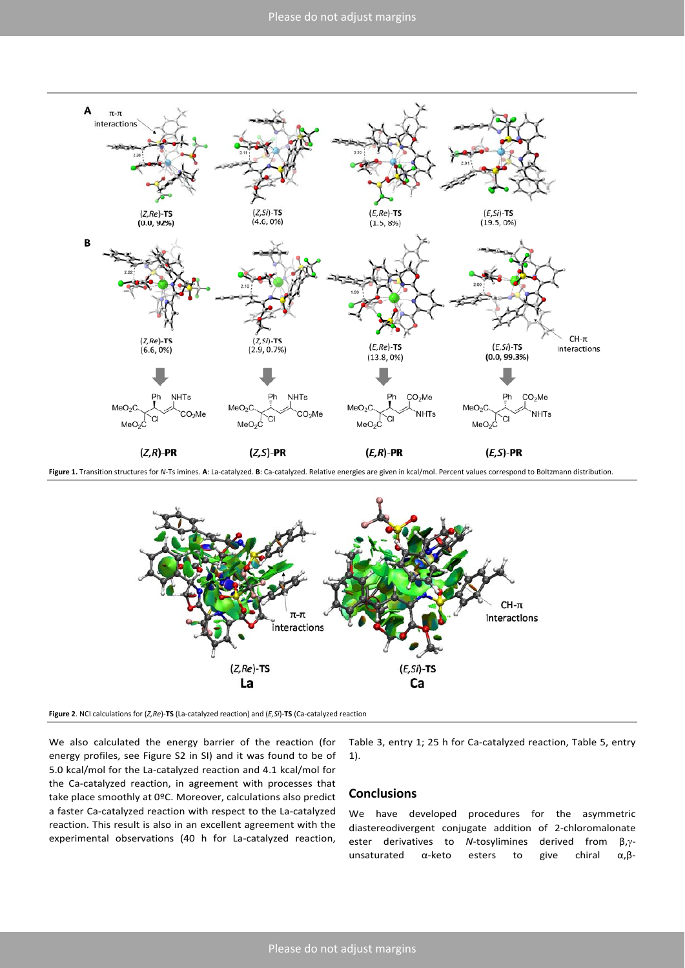

**Figure 1.** Transition structures for *N*‐Ts imines. **A**: La‐catalyzed. **B**: Ca‐catalyzed. Relative energies are given in kcal/mol. Percent values correspond to Boltzmann distribution.



**Figure 2**. NCI calculations for (*Z,Re*)‐**TS** (La‐catalyzed reaction) and (*E,Si*)‐**TS** (Ca‐catalyzed reaction

We also calculated the energy barrier of the reaction (for energy profiles, see Figure S2 in SI) and it was found to be of 5.0 kcal/mol for the La‐catalyzed reaction and 4.1 kcal/mol for the Ca-catalyzed reaction, in agreement with processes that take place smoothly at 0ºC. Moreover, calculations also predict a faster Ca‐catalyzed reaction with respect to the La‐catalyzed reaction. This result is also in an excellent agreement with the experimental observations (40 h for La-catalyzed reaction,

Table 3, entry 1; 25 h for Ca-catalyzed reaction, Table 5, entry 1).

## **Conclusions**

We have developed procedures for the asymmetric diastereodivergent conjugate addition of 2‐chloromalonate ester derivatives to *N*-tosylimines derived from β,γunsaturated α-keto esters to give chiral α,β-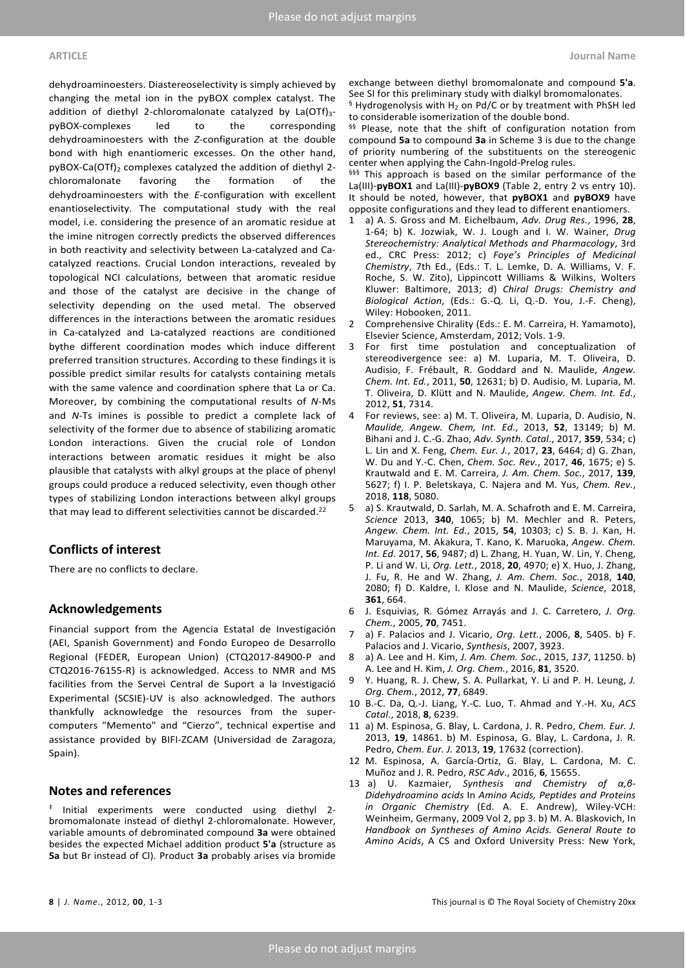dehydroaminoesters. Diastereoselectivity is simply achieved by changing the metal ion in the pyBOX complex catalyst. The addition of diethyl 2-chloromalonate catalyzed by La(OTf) $_3$ pyBOX‐complexes led to the corresponding dehydroaminoesters with the *Z*‐configuration at the double bond with high enantiomeric excesses. On the other hand, pyBOX-Ca(OTf)<sub>2</sub> complexes catalyzed the addition of diethyl 2chloromalonate favoring the formation of the dehydroaminoesters with the *E*‐configuration with excellent enantioselectivity. The computational study with the real model, i.e. considering the presence of an aromatic residue at the imine nitrogen correctly predicts the observed differences in both reactivity and selectivity between La‐catalyzed and Ca‐ catalyzed reactions. Crucial London interactions, revealed by topological NCI calculations, between that aromatic residue and those of the catalyst are decisive in the change of selectivity depending on the used metal. The observed differences in the interactions between the aromatic residues in Ca-catalyzed and La-catalyzed reactions are conditioned bythe different coordination modes which induce different preferred transition structures. According to these findings it is possible predict similar results for catalysts containing metals with the same valence and coordination sphere that La or Ca. Moreover, by combining the computational results of *N*‐Ms and *N*‐Ts imines is possible to predict a complete lack of selectivity of the former due to absence of stabilizing aromatic London interactions. Given the crucial role of London interactions between aromatic residues it might be also plausible that catalysts with alkyl groups at the place of phenyl groups could produce a reduced selectivity, even though other types of stabilizing London interactions between alkyl groups that may lead to different selectivities cannot be discarded.<sup>22</sup>

# **Conflicts of interest**

There are no conflicts to declare.

## **Acknowledgements**

Financial support from the Agencia Estatal de Investigación (AEI, Spanish Government) and Fondo Europeo de Desarrollo Regional (FEDER, European Union) (CTQ2017‐84900‐P and CTQ2016‐76155‐R) is acknowledged. Access to NMR and MS facilities from the Servei Central de Suport a la Investigació Experimental (SCSIE)‐UV is also acknowledged. The authors thankfully acknowledge the resources from the super‐ computers "Memento" and "Cierzo", technical expertise and assistance provided by BIFI‐ZCAM (Universidad de Zaragoza, Spain).

### **Notes and references**

‡ Initial experiments were conducted using diethyl 2‐ bromomalonate instead of diethyl 2‐chloromalonate. However, variable amounts of debrominated compound **3a** were obtained besides the expected Michael addition product **5'a** (structure as **5a** but Br instead of Cl). Product **3a** probably arises via bromide exchange between diethyl bromomalonate and compound **5'a**. See SI for this preliminary study with dialkyl bromomalonates.  $§$  Hydrogenolysis with H<sub>2</sub> on Pd/C or by treatment with PhSH led to considerable isomerization of the double bond.

§§ Please, note that the shift of configuration notation from compound **5a** to compound **3a** in Scheme 3 is due to the change of priority numbering of the substituents on the stereogenic center when applying the Cahn‐Ingold‐Prelog rules.

§§§§ This approach is based on the similar performance of the La(III)-pyBOX1 and La(III)-pyBOX9 (Table 2, entry 2 vs entry 10). It should be noted, however, that **pyBOX1** and **pyBOX9** have opposite configurations and they lead to different enantiomers.

- 1 a) A. S. Gross and M. Eichelbaum, *Adv. Drug Res.*, 1996, **28**, 1‐64; b) K. Jozwiak, W. J. Lough and I. W. Wainer, *Drug Stereochemistry: Analytical Methods and Pharmacology*, 3rd ed., CRC Press: 2012; c) *Foye's Principles of Medicinal Chemistry*, 7th Ed., (Eds.: T. L. Lemke, D. A. Williams, V. F. Roche, S. W. Zito), Lippincott Williams & Wilkins, Wolters Kluwer: Baltimore, 2013; d) *Chiral Drugs: Chemistry and Biological Action*, (Eds.: G.‐Q. Li, Q.‐D. You, J.‐F. Cheng), Wiley: Hobooken, 2011.
- 2 Comprehensive Chirality (Eds.: E. M. Carreira, H. Yamamoto), Elsevier Science, Amsterdam, 2012; Vols. 1‐9.
- 3 For first time postulation and conceptualization of stereodivergence see: a) M. Luparia, M. T. Oliveira, D. Audisio, F. Frébault, R. Goddard and N. Maulide, *Angew. Chem. Int. Ed.*, 2011, **50**, 12631; b) D. Audisio, M. Luparia, M. T. Oliveira, D. Klütt and N. Maulide, *Angew. Chem. Int. Ed.*, 2012, **51**, 7314.
- 4 For reviews, see: a) M. T. Oliveira, M. Luparia, D. Audisio, N. *Maulide, Angew. Chem, Int. Ed.*, 2013, **52**, 13149; b) M. Bihani and J. C.‐G. Zhao, *Adv. Synth. Catal*., 2017, **359**, 534; c) L. Lin and X. Feng, *Chem. Eur. J.*, 2017, **23**, 6464; d) G. Zhan, W. Du and Y.‐C. Chen, *Chem. Soc. Rev.*, 2017, **46**, 1675; e) S. Krautwald and E. M. Carreira, *J. Am. Chem. Soc.*, 2017, **139**, 5627; f) I. P. Beletskaya, C. Najera and M. Yus, *Chem. Rev.*, 2018, **118**, 5080.
- a) S. Krautwald, D. Sarlah, M. A. Schafroth and E. M. Carreira, *Science* 2013, **340**, 1065; b) M. Mechler and R. Peters, *Angew. Chem. Int. Ed.*, 2015, **54**, 10303; c) S. B. J. Kan, H. Maruyama, M. Akakura, T. Kano, K. Maruoka, *Angew. Chem. Int. Ed.* 2017, **56**, 9487; d) L. Zhang, H. Yuan, W. Lin, Y. Cheng, P. Li and W. Li, *Org. Lett.*, 2018, **20**, 4970; e) X. Huo, J. Zhang, J. Fu, R. He and W. Zhang, *J. Am. Chem. Soc.*, 2018, **140**, 2080; f) D. Kaldre, I. Klose and N. Maulide, *Science*, 2018, **361**, 664.
- 6 J. Esquivias, R. Gómez Arrayás and J. C. Carretero, *J. Org. Chem.*, 2005, **70**, 7451.
- 7 a) F. Palacios and J. Vicario, *Org. Lett.*, 2006, **8**, 5405. b) F. Palacios and J. Vicario, *Synthesis*, 2007, 3923.
- 8 a) A. Lee and H. Kim, *J. Am. Chem. Soc.*, 2015, *137*, 11250. b) A. Lee and H. Kim, *J. Org. Chem.*, 2016, **81**, 3520.
- 9 Y. Huang, R. J. Chew, S. A. Pullarkat, Y. Li and P. H. Leung, *J. Org. Chem.*, 2012, **77**, 6849.
- 10 B.‐C. Da, Q.‐J. Liang, Y.‐C. Luo, T. Ahmad and Y.‐H. Xu, *ACS Catal*., 2018, **8**, 6239.
- 11 a) M. Espinosa, G. Blay, L. Cardona, J. R. Pedro, *Chem. Eur. J.* 2013, **19**, 14861. b) M. Espinosa, G. Blay, L. Cardona, J. R. Pedro, *Chem. Eur. J.* 2013, **19**, 17632 (correction).
- 12 M. Espinosa, A. García‐Ortiz, G. Blay, L. Cardona, M. C. Muñoz and J. R. Pedro, *RSC Adv*., 2016, **6**, 15655.
- 13 a) U. Kazmaier, *Synthesis and Chemistry of α,β‐ Didehydroamino acids* In *Amino Acids, Peptides and Proteins in Organic Chemistry* (Ed. A. E. Andrew), Wiley‐VCH: Weinheim, Germany, 2009 Vol 2, pp 3. b) M. A. Blaskovich, In *Handbook on Syntheses of Amino Acids. General Route to Amino Acids*, A CS and Oxford University Press: New York,